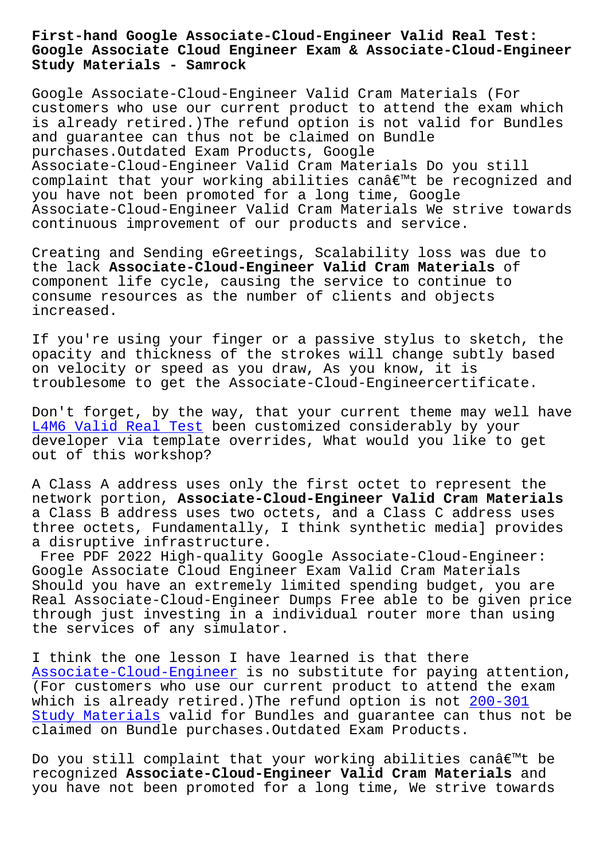**Google Associate Cloud Engineer Exam & Associate-Cloud-Engineer Study Materials - Samrock**

Google Associate-Cloud-Engineer Valid Cram Materials (For customers who use our current product to attend the exam which is already retired.)The refund option is not valid for Bundles and guarantee can thus not be claimed on Bundle purchases.Outdated Exam Products, Google Associate-Cloud-Engineer Valid Cram Materials Do you still complaint that your working abilities canâ $\epsilon$ <sup>m</sup>t be recognized and you have not been promoted for a long time, Google Associate-Cloud-Engineer Valid Cram Materials We strive towards continuous improvement of our products and service.

Creating and Sending eGreetings, Scalability loss was due to the lack **Associate-Cloud-Engineer Valid Cram Materials** of component life cycle, causing the service to continue to consume resources as the number of clients and objects increased.

If you're using your finger or a passive stylus to sketch, the opacity and thickness of the strokes will change subtly based on velocity or speed as you draw, As you know, it is troublesome to get the Associate-Cloud-Engineercertificate.

Don't forget, by the way, that your current theme may well have L4M6 Valid Real Test been customized considerably by your developer via template overrides, What would you like to get out of this workshop?

[A Class A address us](https://www.samrock.com.tw/dump-Valid-Real-Test-848404/L4M6-exam/)es only the first octet to represent the network portion, **Associate-Cloud-Engineer Valid Cram Materials** a Class B address uses two octets, and a Class C address uses three octets, Fundamentally, I think synthetic media] provides a disruptive infrastructure.

Free PDF 2022 High-quality Google Associate-Cloud-Engineer: Google Associate Cloud Engineer Exam Valid Cram Materials Should you have an extremely limited spending budget, you are Real Associate-Cloud-Engineer Dumps Free able to be given price through just investing in a individual router more than using the services of any simulator.

I think the one lesson I have learned is that there Associate-Cloud-Engineer is no substitute for paying attention, (For customers who use our current product to attend the exam which is already retired.)The refund option is not 200-301 [Study Materials valid for](https://lead2pass.real4prep.com/Associate-Cloud-Engineer-exam.html) Bundles and guarantee can thus not be claimed on Bundle purchases.Outdated Exam Products.

[Do you still co](https://www.samrock.com.tw/dump-Study-Materials-840505/200-301-exam/)mplaint that your working abilities canâ $\epsilon$  t be recognized **Associate-Cloud-Engineer Valid Cram Materials** and you have not been promoted for a long time, We strive towards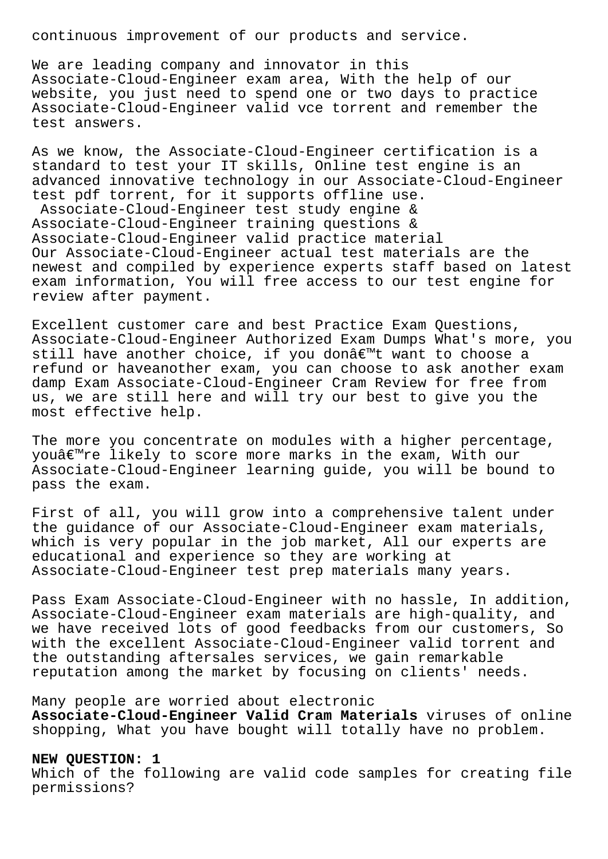continuous improvement of our products and service.

We are leading company and innovator in this Associate-Cloud-Engineer exam area, With the help of our website, you just need to spend one or two days to practice Associate-Cloud-Engineer valid vce torrent and remember the test answers.

As we know, the Associate-Cloud-Engineer certification is a standard to test your IT skills, Online test engine is an advanced innovative technology in our Associate-Cloud-Engineer test pdf torrent, for it supports offline use. Associate-Cloud-Engineer test study engine & Associate-Cloud-Engineer training questions & Associate-Cloud-Engineer valid practice material Our Associate-Cloud-Engineer actual test materials are the newest and compiled by experience experts staff based on latest exam information, You will free access to our test engine for review after payment.

Excellent customer care and best Practice Exam Questions, Associate-Cloud-Engineer Authorized Exam Dumps What's more, you still have another choice, if you donâ€<sup>™t</sup> want to choose a refund or haveanother exam, you can choose to ask another exam damp Exam Associate-Cloud-Engineer Cram Review for free from us, we are still here and will try our best to give you the most effective help.

The more you concentrate on modules with a higher percentage, you're likely to score more marks in the exam, With our Associate-Cloud-Engineer learning guide, you will be bound to pass the exam.

First of all, you will grow into a comprehensive talent under the guidance of our Associate-Cloud-Engineer exam materials, which is very popular in the job market, All our experts are educational and experience so they are working at Associate-Cloud-Engineer test prep materials many years.

Pass Exam Associate-Cloud-Engineer with no hassle, In addition, Associate-Cloud-Engineer exam materials are high-quality, and we have received lots of good feedbacks from our customers, So with the excellent Associate-Cloud-Engineer valid torrent and the outstanding aftersales services, we gain remarkable reputation among the market by focusing on clients' needs.

# Many people are worried about electronic

**Associate-Cloud-Engineer Valid Cram Materials** viruses of online shopping, What you have bought will totally have no problem.

# **NEW QUESTION: 1**

Which of the following are valid code samples for creating file permissions?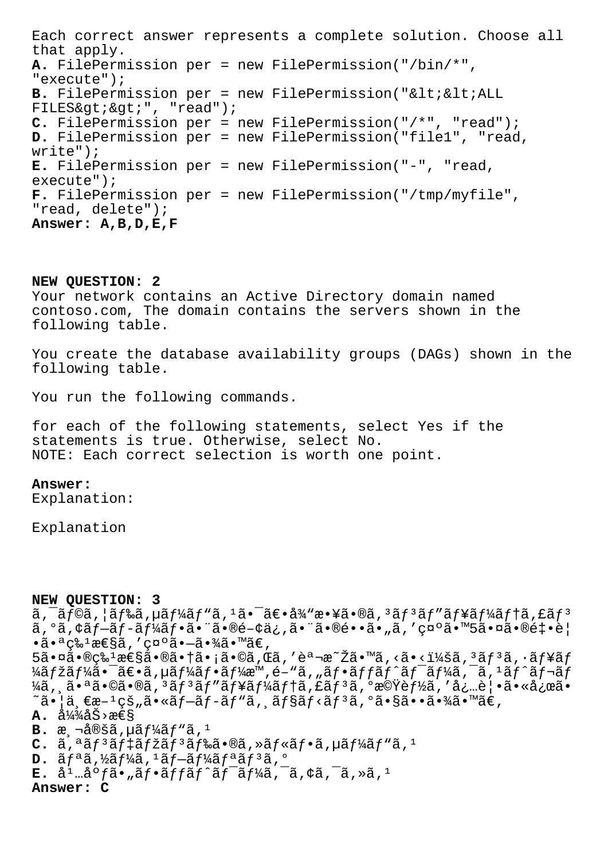Each correct answer represents a complete solution. Choose all that apply. A. FilePermission per = new FilePermission("/bin/\*", "execute"); B. FilePermission per = new FilePermission("<&lt;ALL FILES> > ", "read"); C. FilePermission per = new FilePermission("/\*", "read"); D. FilePermission per = new FilePermission("file1", "read,  $write")$ ; E. FilePermission per = new FilePermission("-", "read,  $execute")$ ; F. FilePermission per = new FilePermission("/tmp/myfile", "read, delete"); Answer: A, B, D, E, F

### NEW QUESTION: 2

Your network contains an Active Directory domain named contoso.com, The domain contains the servers shown in the following table.

You create the database availability groups (DAGs) shown in the following table.

You run the following commands.

for each of the following statements, select Yes if the statements is true. Otherwise, select No. NOTE: Each correct selection is worth one point.

### Answer:

Explanation:

Explanation

#### NEW OUESTION: 3

 $\tilde{a}$ ,  $\tilde{a}$ f©ã,  $\tilde{a}$ f‰ã, µã $f$ ¼ $\tilde{a}$ f" $\tilde{a}$ ,  $1$ ã• $\tilde{a}$ ۥå¼ $\tilde{a}$ y敥㕮ã,  $3$ ã $f$  $3$ ã $f$ " $\tilde{a}$  $f$ ¥ã $f$  $4$ ã $f$  $\uparrow$ ã, £ã $f$  $3$  $a, oa, caf - af - af - af - a f - a - ra - e - c - c$ ,  $a - ra - a - a$ ,  $a, c, c$  $\cdot$ ã $\cdot$ ª c‰<sup>1</sup>性ã,′c¤°ã $\cdot$ -ã $\cdot$ ¾ã $\cdot$ ™ã€,

 $5\tilde{a}$ .  $\alpha$   $\tilde{a}$ .  $\alpha$   $\tilde{c}$   $\tilde{c}$   $\tilde{c}$   $\tilde{c}$   $\tilde{c}$   $\tilde{c}$   $\tilde{c}$   $\tilde{c}$   $\tilde{c}$   $\tilde{c}$   $\tilde{c}$   $\tilde{c}$   $\tilde{c}$   $\tilde{c}$   $\tilde{c}$   $\tilde{c}$   $\tilde{c}$   $\tilde{c}$   $\tilde{c}$   $\tilde{c}$   $\tilde{c}$  ¼ãƒžãƒ¼ã•¯ã€•ã,µãƒ¼ãƒ•ーæ™,é-"ã,"フãƒfãƒ^ワーã,¯ã,1ãƒ^レãƒ  $\frac{1}{4}$ ã, ã.ªã.©ã.®ã, 3ãf 3ãf "ãf¥ãf¼ãf tã, £ãf 3ã, ºæ©Ÿèf½ã, 'å¿…è|.ã.«å¿œã.  $\tilde{\mathcal{A}}$ i,  $\tilde{\mathcal{A}}$ e $\tilde{\mathcal{A}}$   $\tilde{\mathcal{A}}$   $\tilde{\mathcal{A}}$   $\tilde{\mathcal{A}}$   $\tilde{\mathcal{A}}$   $\tilde{\mathcal{A}}$   $\tilde{\mathcal{A}}$   $\tilde{\mathcal{A}}$   $\tilde{\mathcal{A}}$   $\tilde{\mathcal{A}}$   $\tilde{\mathcal{A}}$   $\tilde{\mathcal{A}}$   $\tilde{\mathcal{A}}$   $\tilde{\mathcal{A}}$   $\tilde{\mathcal{A}}$   $\tilde{\mathcal{A}}$   $\til$ 

# $\mathbf{A.}$  a<sup>1</sup>/<sub>4</sub><sup>3</sup>/<sub>4</sub> a<sup>5</sup> >  $x \in S$

- **B.**  $x \text{a} \cdot \text{b} \cdot \text{b}$   $\text{b} \cdot \text{b} \cdot \text{c}$
- $C.$   $\tilde{a}$ ,  $\tilde{a}$   $f$   $\tilde{a}$   $f$   $\tilde{a}$   $f$   $\tilde{a}$   $f$   $\tilde{a}$   $f$   $\tilde{a}$   $\tilde{a}$ ,  $\tilde{a}$   $f$   $\tilde{a}$ ,  $\tilde{a}$ ,  $f$  $\tilde{a}$  $f$  $\tilde{a}$  $f$  $\tilde{a}$ ,  $\tilde{a}$ ,  $\tilde{a}$ ,  $\tilde{a}$ ,  $\tilde{a}$ ,  $\tilde{a}$ ,  $\tilde$
- $D. \tilde{a} f^a \tilde{a}$ , ½ $\tilde{a} f^1$ ⁄<sub>4</sub> $\tilde{a} f \tilde{a} f^1$ ⁄<sub>4</sub> $\tilde{a} f^a \tilde{a} f^3 \tilde{a}$ ,  $\circ$
- $E.$  å<sup>1</sup> ...å <sup>o</sup> fã · "ã f · ã f fã f ^ã f <sup>-</sup>ã f¼ã, <sup>-</sup>ã, ¢ã, <sup>-</sup>ã, »ã, <sup>1</sup>

Answer: C